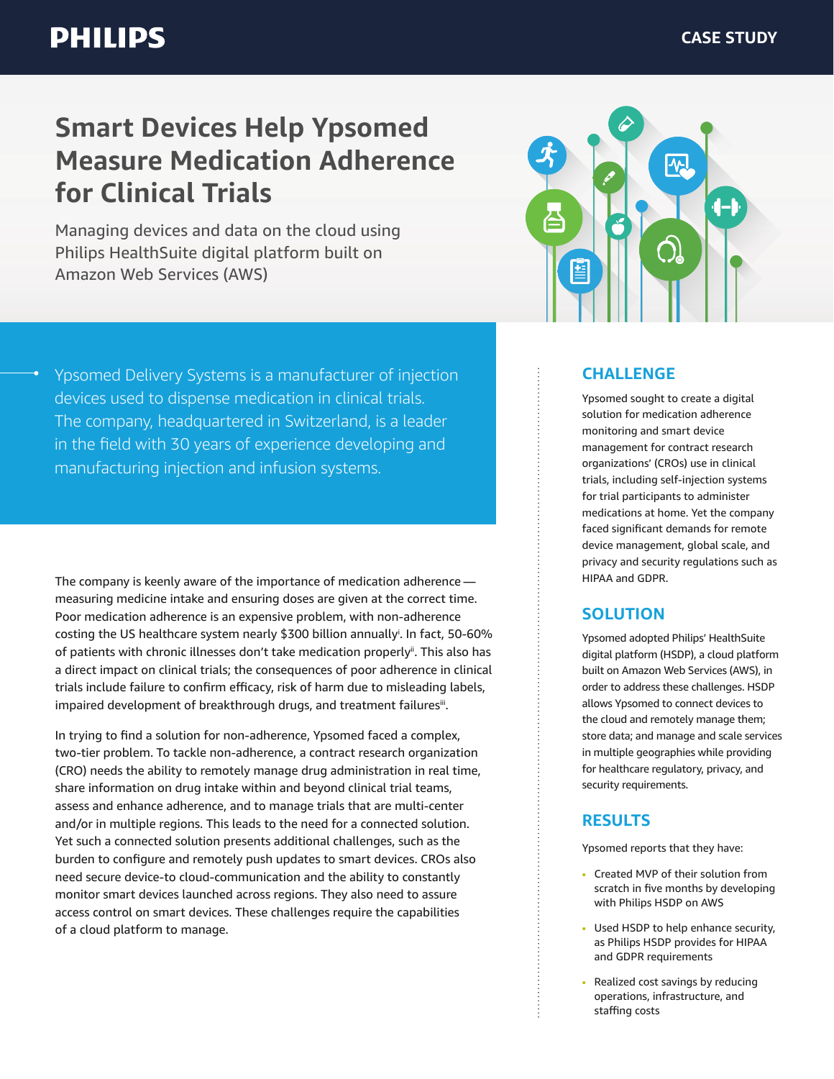# **Smart Devices Help Ypsomed Measure Medication Adherence for Clinical Trials**

Managing devices and data on the cloud using Philips HealthSuite digital platform built on Amazon Web Services (AWS)



Ypsomed Delivery Systems is a manufacturer of injection devices used to dispense medication in clinical trials. The company, headquartered in Switzerland, is a leader in the field with 30 years of experience developing and manufacturing injection and infusion systems.

The company is keenly aware of the importance of medication adherence  measuring medicine intake and ensuring doses are given at the correct time. Poor medication adherence is an expensive problem, with non-adherence costing the US healthcare system nearly \$300 billion annuallyi . In fact, 50-60% of patients with chronic illnesses don't take medication properly<sup>ii</sup>. This also has a direct impact on clinical trials; the consequences of poor adherence in clinical trials include failure to confirm efficacy, risk of harm due to misleading labels, impaired development of breakthrough drugs, and treatment failuresii.

In trying to find a solution for non-adherence, Ypsomed faced a complex, two-tier problem. To tackle non-adherence, a contract research organization (CRO) needs the ability to remotely manage drug administration in real time, share information on drug intake within and beyond clinical trial teams, assess and enhance adherence, and to manage trials that are multi-center and/or in multiple regions. This leads to the need for a connected solution. Yet such a connected solution presents additional challenges, such as the burden to configure and remotely push updates to smart devices. CROs also need secure device-to cloud-communication and the ability to constantly monitor smart devices launched across regions. They also need to assure access control on smart devices. These challenges require the capabilities of a cloud platform to manage.

#### **CHALLENGE**

Ypsomed sought to create a digital solution for medication adherence monitoring and smart device management for contract research organizations' (CROs) use in clinical trials, including self-injection systems for trial participants to administer medications at home. Yet the company faced significant demands for remote device management, global scale, and privacy and security regulations such as HIPAA and GDPR.

#### **SOLUTION**

Ypsomed adopted Philips' HealthSuite digital platform (HSDP), a cloud platform built on Amazon Web Services (AWS), in order to address these challenges. HSDP allows Ypsomed to connect devices to the cloud and remotely manage them; store data; and manage and scale services in multiple geographies while providing for healthcare regulatory, privacy, and security requirements.

#### **RESULTS**

Ypsomed reports that they have:

- Created MVP of their solution from scratch in five months by developing with Philips HSDP on AWS
- Used HSDP to help enhance security, as Philips HSDP provides for HIPAA and GDPR requirements
- Realized cost savings by reducing operations, infrastructure, and staffing costs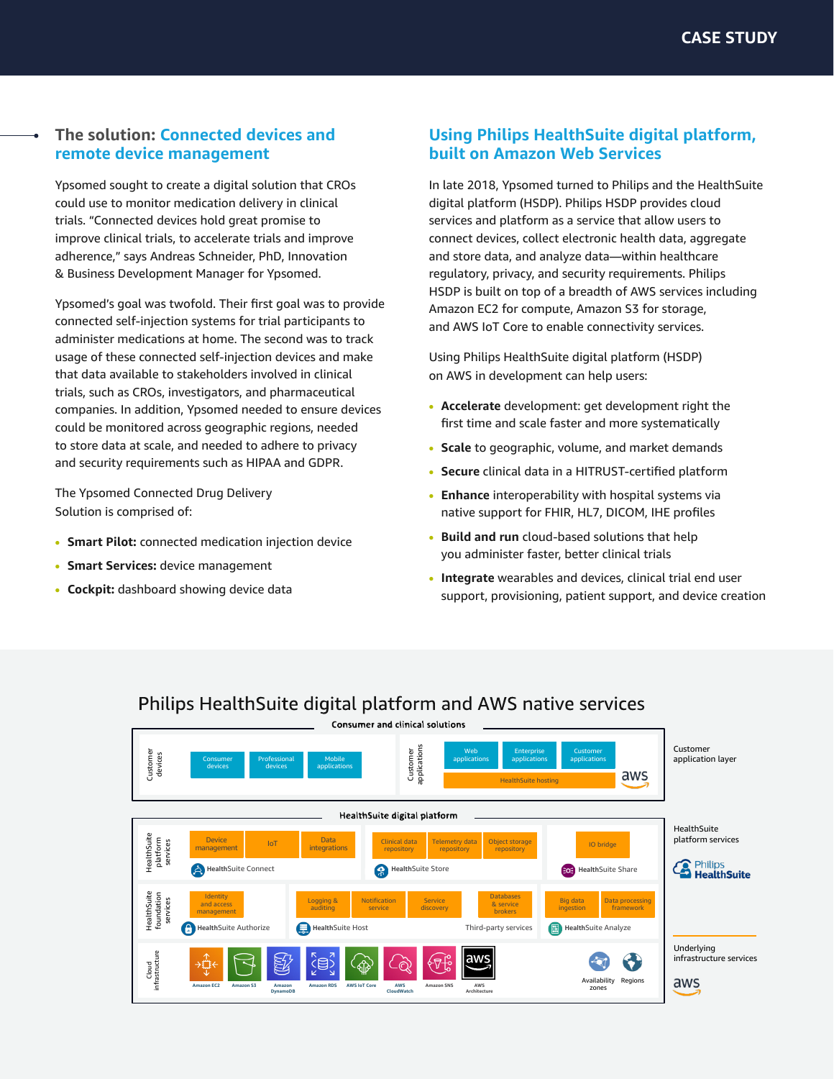### **The solution: Connected devices and remote device management**

Ypsomed sought to create a digital solution that CROs could use to monitor medication delivery in clinical trials. "Connected devices hold great promise to improve clinical trials, to accelerate trials and improve adherence," says Andreas Schneider, PhD, Innovation & Business Development Manager for Ypsomed.

Ypsomed's goal was twofold. Their first goal was to provide connected self-injection systems for trial participants to administer medications at home. The second was to track usage of these connected self-injection devices and make that data available to stakeholders involved in clinical trials, such as CROs, investigators, and pharmaceutical companies. In addition, Ypsomed needed to ensure devices could be monitored across geographic regions, needed to store data at scale, and needed to adhere to privacy and security requirements such as HIPAA and GDPR.

The Ypsomed Connected Drug Delivery Solution is comprised of:

- **• Smart Pilot:** connected medication injection device
- **• Smart Services:** device management
- **• Cockpit:** dashboard showing device data

#### **Using Philips HealthSuite digital platform, built on Amazon Web Services**

In late 2018, Ypsomed turned to Philips and the HealthSuite digital platform (HSDP). Philips HSDP provides cloud services and platform as a service that allow users to connect devices, collect electronic health data, aggregate and store data, and analyze data—within healthcare regulatory, privacy, and security requirements. Philips HSDP is built on top of a breadth of AWS services including Amazon EC2 for compute, Amazon S3 for storage, and AWS IoT Core to enable connectivity services.

Using Philips HealthSuite digital platform (HSDP) on AWS in development can help users:

- **• Accelerate** development: get development right the first time and scale faster and more systematically
- **• Scale** to geographic, volume, and market demands
- **• Secure** clinical data in a HITRUST-certified platform
- **• Enhance** interoperability with hospital systems via native support for FHIR, HL7, DICOM, IHE profiles
- **• Build and run** cloud-based solutions that help you administer faster, better clinical trials
- **• Integrate** wearables and devices, clinical trial end user support, provisioning, patient support, and device creation



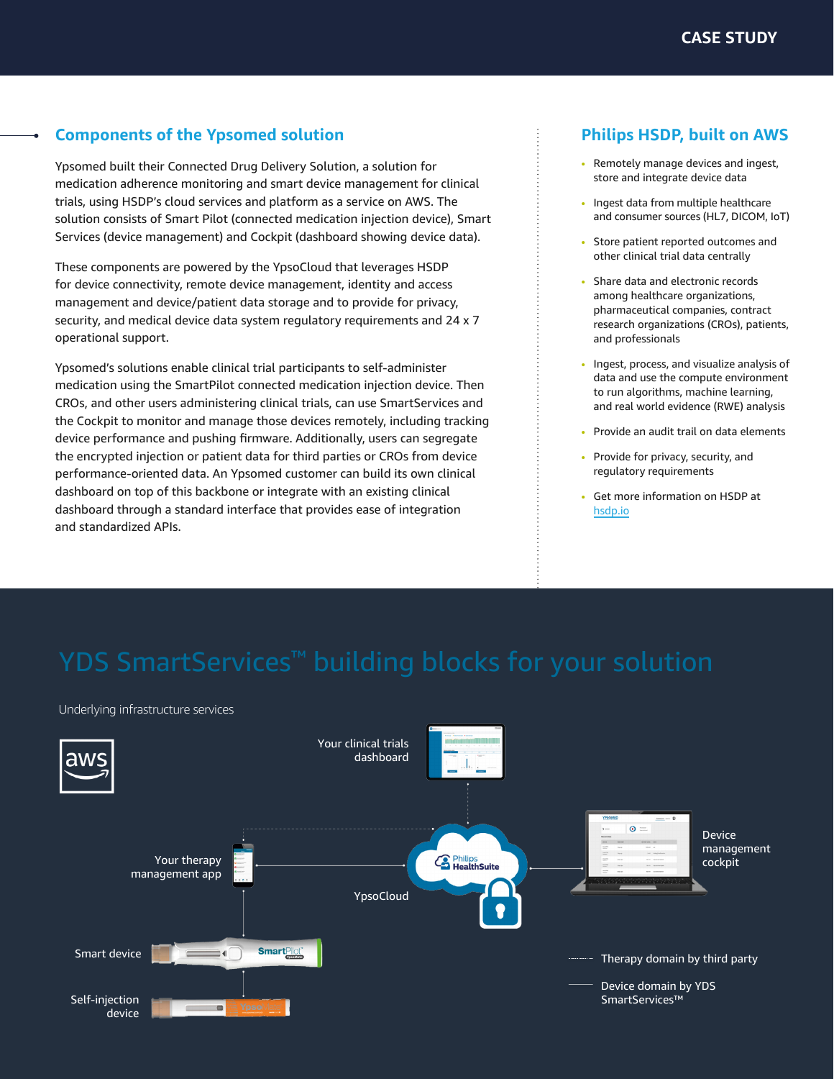# **Components of the Ypsomed solution**

Ypsomed built their Connected Drug Delivery Solution, a solution for medication adherence monitoring and smart device management for clinical trials, using HSDP's cloud services and platform as a service on AWS. The solution consists of Smart Pilot (connected medication injection device), Smart Services (device management) and Cockpit (dashboard showing device data).

These components are powered by the YpsoCloud that leverages HSDP for device connectivity, remote device management, identity and access management and device/patient data storage and to provide for privacy, security, and medical device data system regulatory requirements and 24 x 7 operational support.

Ypsomed's solutions enable clinical trial participants to self-administer medication using the SmartPilot connected medication injection device. Then CROs, and other users administering clinical trials, can use SmartServices and the Cockpit to monitor and manage those devices remotely, including tracking device performance and pushing firmware. Additionally, users can segregate the encrypted injection or patient data for third parties or CROs from device performance-oriented data. An Ypsomed customer can build its own clinical dashboard on top of this backbone or integrate with an existing clinical dashboard through a standard interface that provides ease of integration and standardized APIs.

# **Philips HSDP, built on AWS**

- Remotely manage devices and ingest, store and integrate device data
- Ingest data from multiple healthcare and consumer sources (HL7, DICOM, IoT)
- Store patient reported outcomes and other clinical trial data centrally
- Share data and electronic records among healthcare organizations, pharmaceutical companies, contract research organizations (CROs), patients, and professionals
- Ingest, process, and visualize analysis of data and use the compute environment to run algorithms, machine learning, and real world evidence (RWE) analysis
- Provide an audit trail on data elements
- Provide for privacy, security, and regulatory requirements
- Get more information on HSDP at [hsdp.io](https://hsdp.io)